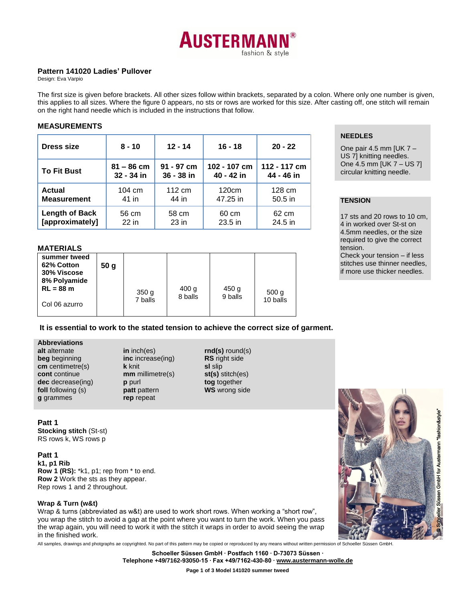

### **Pattern 141020 Ladies' Pullover**

Design: Eva Varpio

The first size is given before brackets. All other sizes follow within brackets, separated by a colon. Where only one number is given, this applies to all sizes. Where the figure 0 appears, no sts or rows are worked for this size. After casting off, one stitch will remain on the right hand needle which is included in the instructions that follow.

### **MEASUREMENTS**

| <b>Dress size</b>     | $8 - 10$         | $12 - 14$  | $16 - 18$    | $20 - 22$    |
|-----------------------|------------------|------------|--------------|--------------|
| <b>To Fit Bust</b>    | $81 - 86$ cm     | 91 - 97 cm | 102 - 107 cm | 112 - 117 cm |
|                       | 32 - 34 in       | 36 - 38 in | 40 - 42 in   | 44 - 46 in   |
| Actual                | $104 \text{ cm}$ | 112 cm     | 120cm        | 128 cm       |
| <b>Measurement</b>    | 41 in            | 44 in      | 47.25 in     | $50.5$ in    |
| <b>Length of Back</b> | 56 cm            | 58 cm      | 60 cm        | 62 cm        |
| [approximately]       | $22$ in          | 23 in      | 23.5 in      | 24.5 in      |

## **MATERIALS**

| .                                                                                         |                 |                             |                             |                             |                              |  |  |  |
|-------------------------------------------------------------------------------------------|-----------------|-----------------------------|-----------------------------|-----------------------------|------------------------------|--|--|--|
| summer tweed<br>62% Cotton<br>30% Viscose<br>8% Polyamide<br>$RL = 88 m$<br>Col 06 azurro | 50 <sub>g</sub> | 350 <sub>q</sub><br>7 balls | 400 <sub>g</sub><br>8 balls | 450 <sub>g</sub><br>9 balls | 500 <sub>g</sub><br>10 balls |  |  |  |
|                                                                                           |                 |                             |                             |                             |                              |  |  |  |

## **It is essential to work to the stated tension to achieve the correct size of garment.**

### **Abbreviations**

**alt** alternate **beg** beginning **cm** centimetre(s) **cont** continue **dec** decrease(ing) **foll** following (s) **g** grammes

**in** inch(es) **inc** increase(ing) **k** knit **mm** millimetre(s) **p** purl **patt** pattern **rep** repeat

**rnd(s)** round(s) **RS** right side **sl** slip **st(s)** stitch(es) **tog** together **WS** wrong side

**Patt 1 Stocking stitch** (St-st) RS rows k, WS rows p

**Patt 1 k1, p1 Rib Row 1 (RS):** \*k1, p1; rep from \* to end. **Row 2** Work the sts as they appear. Rep rows 1 and 2 throughout.

## **Wrap & Turn (w&t)**

Wrap & turns (abbreviated as w&t) are used to work short rows. When working a "short row", you wrap the stitch to avoid a gap at the point where you want to turn the work. When you pass the wrap again, you will need to work it with the stitch it wraps in order to avoid seeing the wrap in the finished work.

All samples, drawings and photgraphs ae copyrighted. No part of this pattern may be copied or reproduced by any means without written permission of Schoeller Süssen GmbH.

**Schoeller Süssen GmbH ∙ Postfach 1160 ∙ D-73073 Süssen ∙ Telephone +49/7162-93050-15 ∙ Fax +49/7162-430-80 [∙ www.austermann-wolle.de](http://www.austermann-wolle.de/)**

**Page 1 of 3 Model 141020 summer tweed**

# **NEEDLES**

One pair 4.5 mm [UK  $7 -$ US 7] knitting needles. One 4.5 mm [UK 7 – US 7] circular knitting needle.

# **TENSION**

17 sts and 20 rows to 10 cm, 4 in worked over St-st on 4.5mm needles, or the size required to give the correct tension.

Check your tension – if less stitches use thinner needles, if more use thicker needles.

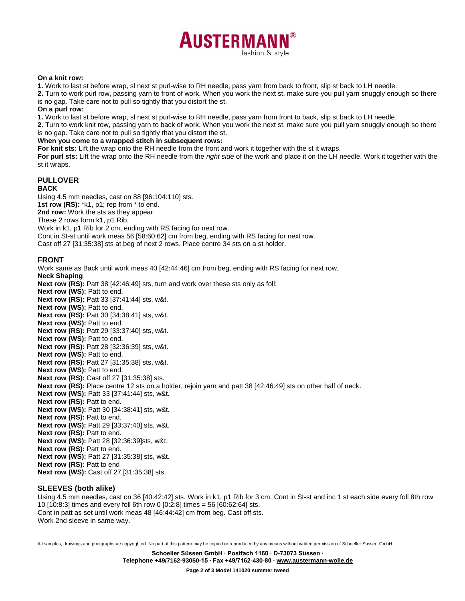

#### **On a knit row:**

**1.** Work to last st before wrap, sl next st purl-wise to RH needle, pass yarn from back to front, slip st back to LH needle.

**2.** Turn to work purl row, passing yarn to front of work. When you work the next st, make sure you pull yarn snuggly enough so there is no gap. Take care not to pull so tightly that you distort the st.

#### **On a purl row:**

**1.** Work to last st before wrap, sl next st purl-wise to RH needle, pass yarn from front to back, slip st back to LH needle.

**2.** Turn to work knit row, passing yarn to back of work. When you work the next st, make sure you pull yarn snuggly enough so there is no gap. Take care not to pull so tightly that you distort the st.

#### **When you come to a wrapped stitch in subsequent rows:**

**For knit sts:** Lift the wrap onto the RH needle from the front and work it together with the st it wraps.

**For purl sts:** Lift the wrap onto the RH needle from the *right side* of the work and place it on the LH needle. Work it together with the st it wraps.

### **PULLOVER**

#### **BACK**

Using 4.5 mm needles, cast on 88 [96:104:110] sts. **1st row (RS):** \*k1, p1; rep from \* to end. **2nd row:** Work the sts as they appear. These 2 rows form k1, p1 Rib. Work in k1, p1 Rib for 2 cm, ending with RS facing for next row.

Cont in St-st until work meas 56 [58:60:62] cm from beg, ending with RS facing for next row.

Cast off 27 [31:35:38] sts at beg of next 2 rows. Place centre 34 sts on a st holder.

### **FRONT**

Work same as Back until work meas 40 [42:44:46] cm from beg, ending with RS facing for next row.

**Neck Shaping**

**Next row (RS):** Patt 38 [42:46:49] sts, turn and work over these sts only as foll:

**Next row (WS): Patt to end.** 

**Next row (RS):** Patt 33 [37:41:44] sts, w&t.

**Next row (WS): Patt to end.** 

**Next row (RS):** Patt 30 [34:38:41] sts, w&t.

**Next row (WS): Patt to end.** 

**Next row (RS):** Patt 29 [33:37:40] sts, w&t.

**Next row (WS): Patt to end.** 

**Next row (RS):** Patt 28 [32:36:39] sts, w&t.

**Next row (WS): Patt to end.** 

**Next row (RS):** Patt 27 [31:35:38] sts, w&t.

**Next row (WS): Patt to end.** 

**Next row (RS):** Cast off 27 [31:35:38] sts.

Next row (RS): Place centre 12 sts on a holder, rejoin yarn and patt 38 [42:46:49] sts on other half of neck.

**Next row (WS):** Patt 33 [37:41:44] sts, w&t.

**Next row (RS): Patt to end.** 

**Next row (WS):** Patt 30 [34:38:41] sts, w&t.

**Next row (RS):** Patt to end.

**Next row (WS):** Patt 29 [33:37:40] sts, w&t.

**Next row (RS): Patt to end.** 

**Next row (WS):** Patt 28 [32:36:39]sts, w&t.

**Next row (RS): Patt to end.** 

**Next row (WS):** Patt 27 [31:35:38] sts, w&t.

**Next row (RS): Patt to end** 

**Next row (WS):** Cast off 27 [31:35:38] sts.

### **SLEEVES (both alike)**

Using 4.5 mm needles, cast on 36 [40:42:42] sts. Work in k1, p1 Rib for 3 cm. Cont in St-st and inc 1 st each side every foll 8th row 10 [10:8:3] times and every foll 6th row 0 [0:2:8] times = 56 [60:62:64] sts. Cont in patt as set until work meas 48 [46:44:42] cm from beg. Cast off sts. Work 2nd sleeve in same way.

All samples, drawings and photgraphs ae copyrighted. No part of this pattern may be copied or reproduced by any means without written permission of Schoeller Süssen GmbH.